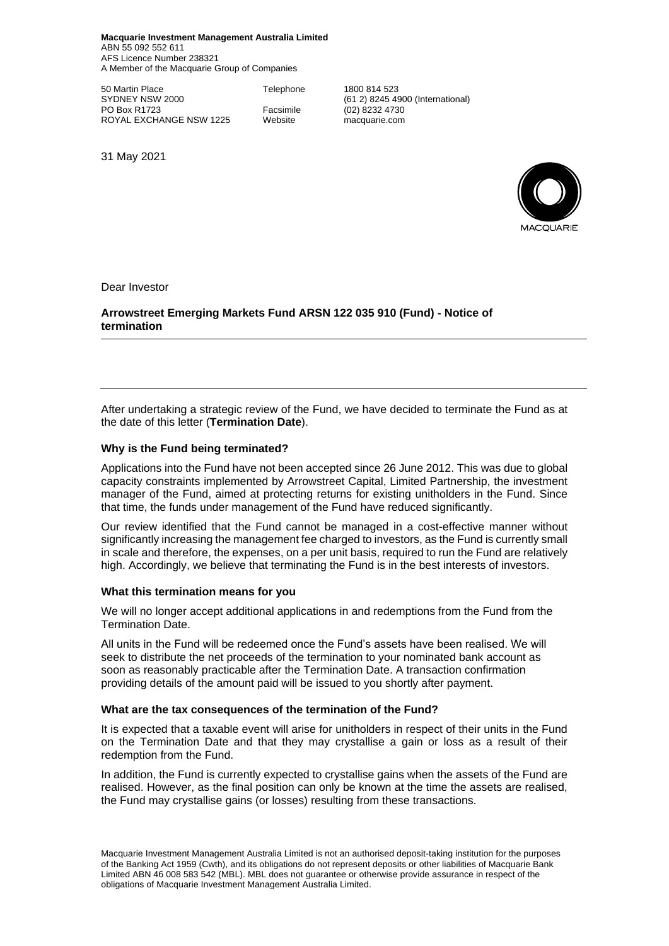**Macquarie Investment Management Australia Limited** ABN 55 092 552 611 AFS Licence Number 238321 A Member of the Macquarie Group of Companies

50 Martin Place **Telephone** 1800 814 523<br>SYDNEY NSW 2000 61 2) 8245 4 PO Box R1723 Facsimile (02) 8232 4730<br>ROYAL EXCHANGE NSW 1225 Website macquarie.com ROYAL EXCHANGE NSW 1225

(61 2) 8245 4900 (International)

31 May 2021



Dear Investor

**Arrowstreet Emerging Markets Fund ARSN 122 035 910 (Fund) - Notice of termination** 

After undertaking a strategic review of the Fund, we have decided to terminate the Fund as at the date of this letter (**Termination Date**).

## **Why is the Fund being terminated?**

Applications into the Fund have not been accepted since 26 June 2012. This was due to global capacity constraints implemented by Arrowstreet Capital, Limited Partnership, the investment manager of the Fund, aimed at protecting returns for existing unitholders in the Fund. Since that time, the funds under management of the Fund have reduced significantly.

Our review identified that the Fund cannot be managed in a cost-effective manner without significantly increasing the management fee charged to investors, as the Fund is currently small in scale and therefore, the expenses, on a per unit basis, required to run the Fund are relatively high. Accordingly, we believe that terminating the Fund is in the best interests of investors.

## **What this termination means for you**

We will no longer accept additional applications in and redemptions from the Fund from the Termination Date.

All units in the Fund will be redeemed once the Fund's assets have been realised. We will seek to distribute the net proceeds of the termination to your nominated bank account as soon as reasonably practicable after the Termination Date. A transaction confirmation providing details of the amount paid will be issued to you shortly after payment.

## **What are the tax consequences of the termination of the Fund?**

It is expected that a taxable event will arise for unitholders in respect of their units in the Fund on the Termination Date and that they may crystallise a gain or loss as a result of their redemption from the Fund.

In addition, the Fund is currently expected to crystallise gains when the assets of the Fund are realised. However, as the final position can only be known at the time the assets are realised, the Fund may crystallise gains (or losses) resulting from these transactions.

Macquarie Investment Management Australia Limited is not an authorised deposit-taking institution for the purposes of the Banking Act 1959 (Cwth), and its obligations do not represent deposits or other liabilities of Macquarie Bank Limited ABN 46 008 583 542 (MBL). MBL does not guarantee or otherwise provide assurance in respect of the obligations of Macquarie Investment Management Australia Limited.